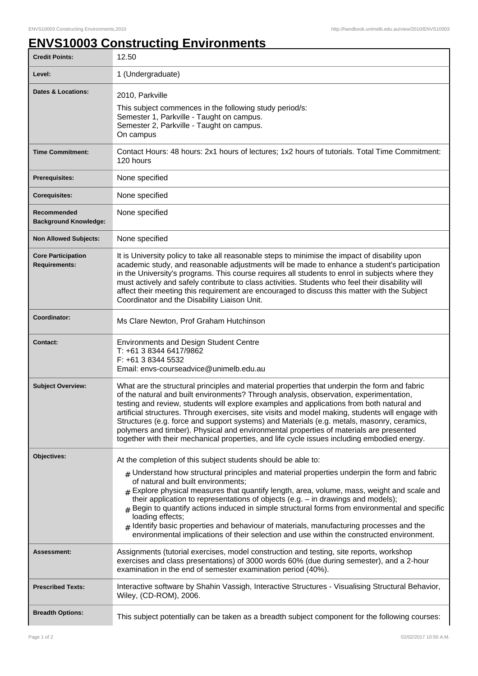## **ENVS10003 Constructing Environments**

| <b>Credit Points:</b>                             | 12.50                                                                                                                                                                                                                                                                                                                                                                                                                                                                                                                                                                                                                                                                                                      |
|---------------------------------------------------|------------------------------------------------------------------------------------------------------------------------------------------------------------------------------------------------------------------------------------------------------------------------------------------------------------------------------------------------------------------------------------------------------------------------------------------------------------------------------------------------------------------------------------------------------------------------------------------------------------------------------------------------------------------------------------------------------------|
| Level:                                            | 1 (Undergraduate)                                                                                                                                                                                                                                                                                                                                                                                                                                                                                                                                                                                                                                                                                          |
| <b>Dates &amp; Locations:</b>                     | 2010, Parkville<br>This subject commences in the following study period/s:<br>Semester 1, Parkville - Taught on campus.<br>Semester 2, Parkville - Taught on campus.<br>On campus                                                                                                                                                                                                                                                                                                                                                                                                                                                                                                                          |
| <b>Time Commitment:</b>                           | Contact Hours: 48 hours: 2x1 hours of lectures; 1x2 hours of tutorials. Total Time Commitment:<br>120 hours                                                                                                                                                                                                                                                                                                                                                                                                                                                                                                                                                                                                |
| <b>Prerequisites:</b>                             | None specified                                                                                                                                                                                                                                                                                                                                                                                                                                                                                                                                                                                                                                                                                             |
| <b>Corequisites:</b>                              | None specified                                                                                                                                                                                                                                                                                                                                                                                                                                                                                                                                                                                                                                                                                             |
| Recommended<br><b>Background Knowledge:</b>       | None specified                                                                                                                                                                                                                                                                                                                                                                                                                                                                                                                                                                                                                                                                                             |
| <b>Non Allowed Subjects:</b>                      | None specified                                                                                                                                                                                                                                                                                                                                                                                                                                                                                                                                                                                                                                                                                             |
| <b>Core Participation</b><br><b>Requirements:</b> | It is University policy to take all reasonable steps to minimise the impact of disability upon<br>academic study, and reasonable adjustments will be made to enhance a student's participation<br>in the University's programs. This course requires all students to enrol in subjects where they<br>must actively and safely contribute to class activities. Students who feel their disability will<br>affect their meeting this requirement are encouraged to discuss this matter with the Subject<br>Coordinator and the Disability Liaison Unit.                                                                                                                                                      |
| Coordinator:                                      | Ms Clare Newton, Prof Graham Hutchinson                                                                                                                                                                                                                                                                                                                                                                                                                                                                                                                                                                                                                                                                    |
| <b>Contact:</b>                                   | <b>Environments and Design Student Centre</b><br>T: +61 3 8344 6417/9862<br>F: +61 3 8344 5532<br>Email: envs-courseadvice@unimelb.edu.au                                                                                                                                                                                                                                                                                                                                                                                                                                                                                                                                                                  |
| <b>Subject Overview:</b>                          | What are the structural principles and material properties that underpin the form and fabric<br>of the natural and built environments? Through analysis, observation, experimentation,<br>testing and review, students will explore examples and applications from both natural and<br>artificial structures. Through exercises, site visits and model making, students will engage with<br>Structures (e.g. force and support systems) and Materials (e.g. metals, masonry, ceramics,<br>polymers and timber). Physical and environmental properties of materials are presented<br>together with their mechanical properties, and life cycle issues including embodied energy.                            |
| Objectives:                                       | At the completion of this subject students should be able to:<br>$#$ Understand how structural principles and material properties underpin the form and fabric<br>of natural and built environments;<br>$#$ Explore physical measures that quantify length, area, volume, mass, weight and scale and<br>their application to representations of objects (e.g. - in drawings and models);<br>$#$ Begin to quantify actions induced in simple structural forms from environmental and specific<br>loading effects;<br>$#$ Identify basic properties and behaviour of materials, manufacturing processes and the<br>environmental implications of their selection and use within the constructed environment. |
| Assessment:                                       | Assignments (tutorial exercises, model construction and testing, site reports, workshop<br>exercises and class presentations) of 3000 words 60% (due during semester), and a 2-hour<br>examination in the end of semester examination period (40%).                                                                                                                                                                                                                                                                                                                                                                                                                                                        |
| <b>Prescribed Texts:</b>                          | Interactive software by Shahin Vassigh, Interactive Structures - Visualising Structural Behavior,<br>Wiley, (CD-ROM), 2006.                                                                                                                                                                                                                                                                                                                                                                                                                                                                                                                                                                                |
| <b>Breadth Options:</b>                           | This subject potentially can be taken as a breadth subject component for the following courses:                                                                                                                                                                                                                                                                                                                                                                                                                                                                                                                                                                                                            |